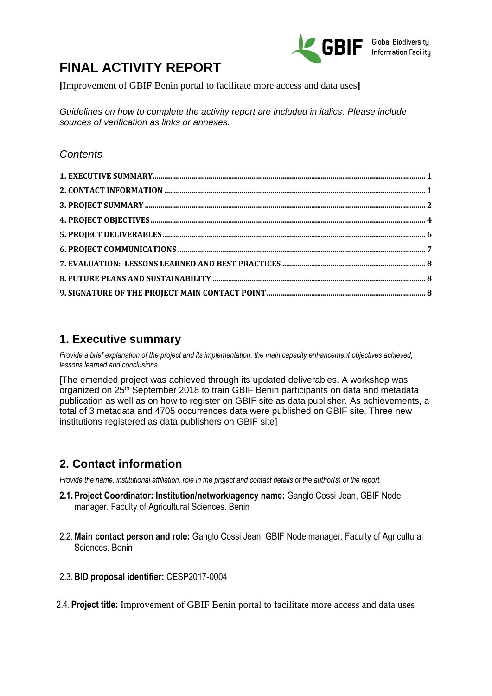

# **FINAL ACTIVITY REPORT**

**[**Improvement of GBIF Benin portal to facilitate more access and data uses**]**

*Guidelines on how to complete the activity report are included in italics. Please include sources of verification as links or annexes.*

# *Contents*

# **1. Executive summary**

*Provide a brief explanation of the project and its implementation, the main capacity enhancement objectives achieved, lessons learned and conclusions.* 

[The emended project was achieved through its updated deliverables. A workshop was organized on 25<sup>th</sup> September 2018 to train GBIF Benin participants on data and metadata publication as well as on how to register on GBIF site as data publisher. As achievements, a total of 3 metadata and 4705 occurrences data were published on GBIF site. Three new institutions registered as data publishers on GBIF site]

# **2. Contact information**

*Provide the name, institutional affiliation, role in the project and contact details of the author(s) of the report.* 

- **2.1.Project Coordinator: Institution/network/agency name:** Ganglo Cossi Jean, GBIF Node manager. Faculty of Agricultural Sciences. Benin
- 2.2.**Main contact person and role:** Ganglo Cossi Jean, GBIF Node manager. Faculty of Agricultural Sciences. Benin
- 2.3.**BID proposal identifier:** CESP2017-0004
- 2.4.**Project title:** Improvement of GBIF Benin portal to facilitate more access and data uses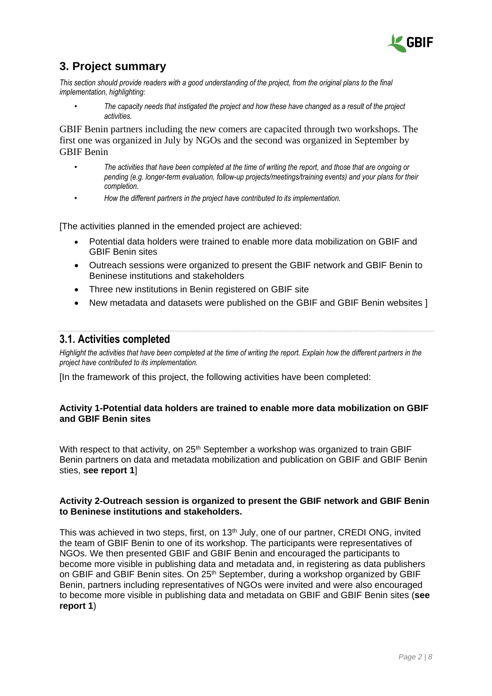

# **3. Project summary**

*This section should provide readers with a good understanding of the project, from the original plans to the final implementation, highlighting:* 

• *The capacity needs that instigated the project and how these have changed as a result of the project activities.*

GBIF Benin partners including the new comers are capacited through two workshops. The first one was organized in July by NGOs and the second was organized in September by GBIF Benin

- *The activities that have been completed at the time of writing the report, and those that are ongoing or pending (e.g. longer-term evaluation, follow-up projects/meetings/training events) and your plans for their completion.*
- *How the different partners in the project have contributed to its implementation.*

[The activities planned in the emended project are achieved:

- Potential data holders were trained to enable more data mobilization on GBIF and GBIF Benin sites
- Outreach sessions were organized to present the GBIF network and GBIF Benin to Beninese institutions and stakeholders
- Three new institutions in Benin registered on GBIF site
- New metadata and datasets were published on the GBIF and GBIF Benin websites 1

# **3.1. Activities completed**

*Highlight the activities that have been completed at the time of writing the report. Explain how the different partners in the project have contributed to its implementation.* 

[In the framework of this project, the following activities have been completed:

### **Activity 1-Potential data holders are trained to enable more data mobilization on GBIF and GBIF Benin sites**

With respect to that activity, on  $25<sup>th</sup>$  September a workshop was organized to train GBIF Benin partners on data and metadata mobilization and publication on GBIF and GBIF Benin sties, **see report 1**]

### **Activity 2-Outreach session is organized to present the GBIF network and GBIF Benin to Beninese institutions and stakeholders.**

This was achieved in two steps, first, on  $13<sup>th</sup>$  July, one of our partner, CREDI ONG, invited the team of GBIF Benin to one of its workshop. The participants were representatives of NGOs. We then presented GBIF and GBIF Benin and encouraged the participants to become more visible in publishing data and metadata and, in registering as data publishers on GBIF and GBIF Benin sites. On 25<sup>th</sup> September, during a workshop organized by GBIF Benin, partners including representatives of NGOs were invited and were also encouraged to become more visible in publishing data and metadata on GBIF and GBIF Benin sites (**see report 1**)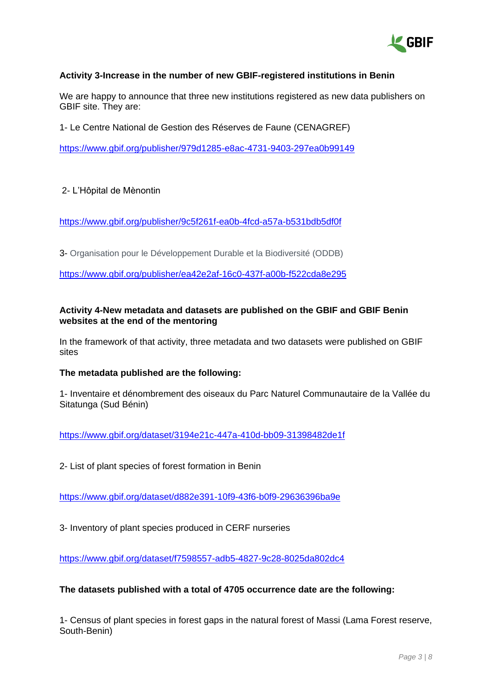

## **Activity 3-Increase in the number of new GBIF-registered institutions in Benin**

We are happy to announce that three new institutions registered as new data publishers on GBIF site. They are:

1- Le Centre National de Gestion des Réserves de Faune (CENAGREF)

<https://www.gbif.org/publisher/979d1285-e8ac-4731-9403-297ea0b99149>

#### 2- L'Hôpital de Mènontin

<https://www.gbif.org/publisher/9c5f261f-ea0b-4fcd-a57a-b531bdb5df0f>

3- Organisation pour le Développement Durable et la Biodiversité (ODDB)

<https://www.gbif.org/publisher/ea42e2af-16c0-437f-a00b-f522cda8e295>

### **Activity 4-New metadata and datasets are published on the GBIF and GBIF Benin websites at the end of the mentoring**

In the framework of that activity, three metadata and two datasets were published on GBIF sites

#### **The metadata published are the following:**

1- Inventaire et dénombrement des oiseaux du Parc Naturel Communautaire de la Vallée du Sitatunga (Sud Bénin)

<https://www.gbif.org/dataset/3194e21c-447a-410d-bb09-31398482de1f>

2- List of plant species of forest formation in Benin

<https://www.gbif.org/dataset/d882e391-10f9-43f6-b0f9-29636396ba9e>

3- Inventory of plant species produced in CERF nurseries

<https://www.gbif.org/dataset/f7598557-adb5-4827-9c28-8025da802dc4>

#### **The datasets published with a total of 4705 occurrence date are the following:**

1- Census of plant species in forest gaps in the natural forest of Massi (Lama Forest reserve, South-Benin)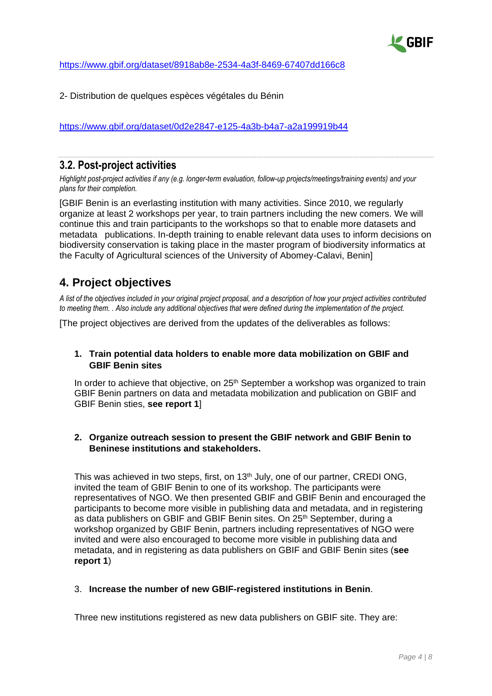

<https://www.gbif.org/dataset/8918ab8e-2534-4a3f-8469-67407dd166c8>

2- Distribution de quelques espèces végétales du Bénin

<https://www.gbif.org/dataset/0d2e2847-e125-4a3b-b4a7-a2a199919b44>

# **3.2. Post-project activities**

*Highlight post-project activities if any (e.g. longer-term evaluation, follow-up projects/meetings/training events) and your plans for their completion.* 

[GBIF Benin is an everlasting institution with many activities. Since 2010, we regularly organize at least 2 workshops per year, to train partners including the new comers. We will continue this and train participants to the workshops so that to enable more datasets and metadata publications. In-depth training to enable relevant data uses to inform decisions on biodiversity conservation is taking place in the master program of biodiversity informatics at the Faculty of Agricultural sciences of the University of Abomey-Calavi, Benin]

# **4. Project objectives**

*A list of the objectives included in your original project proposal, and a description of how your project activities contributed to meeting them. . Also include any additional objectives that were defined during the implementation of the project.* 

[The project objectives are derived from the updates of the deliverables as follows:

### **1. Train potential data holders to enable more data mobilization on GBIF and GBIF Benin sites**

In order to achieve that objective, on  $25<sup>th</sup>$  September a workshop was organized to train GBIF Benin partners on data and metadata mobilization and publication on GBIF and GBIF Benin sties, **see report 1**]

## **2. Organize outreach session to present the GBIF network and GBIF Benin to Beninese institutions and stakeholders.**

This was achieved in two steps, first, on 13<sup>th</sup> July, one of our partner, CREDI ONG, invited the team of GBIF Benin to one of its workshop. The participants were representatives of NGO. We then presented GBIF and GBIF Benin and encouraged the participants to become more visible in publishing data and metadata, and in registering as data publishers on GBIF and GBIF Benin sites. On 25<sup>th</sup> September, during a workshop organized by GBIF Benin, partners including representatives of NGO were invited and were also encouraged to become more visible in publishing data and metadata, and in registering as data publishers on GBIF and GBIF Benin sites (**see report 1**)

#### 3. **Increase the number of new GBIF-registered institutions in Benin**.

Three new institutions registered as new data publishers on GBIF site. They are: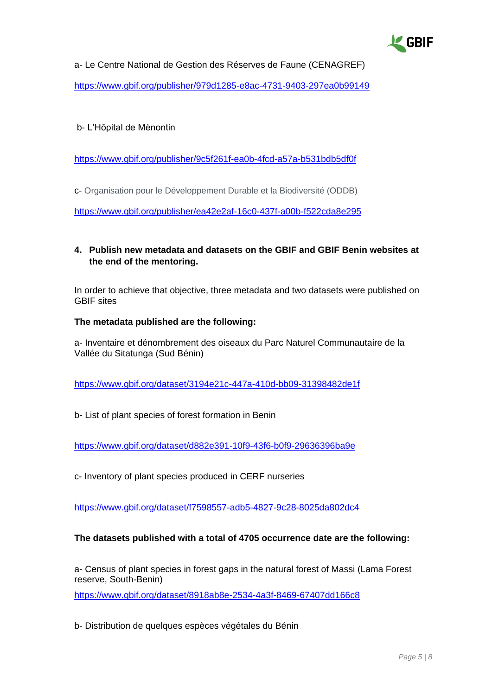

a- Le Centre National de Gestion des Réserves de Faune (CENAGREF) <https://www.gbif.org/publisher/979d1285-e8ac-4731-9403-297ea0b99149>

## b- L'Hôpital de Mènontin

<https://www.gbif.org/publisher/9c5f261f-ea0b-4fcd-a57a-b531bdb5df0f>

c- Organisation pour le Développement Durable et la Biodiversité (ODDB)

<https://www.gbif.org/publisher/ea42e2af-16c0-437f-a00b-f522cda8e295>

## **4. Publish new metadata and datasets on the GBIF and GBIF Benin websites at the end of the mentoring.**

In order to achieve that objective, three metadata and two datasets were published on GBIF sites

#### **The metadata published are the following:**

a- Inventaire et dénombrement des oiseaux du Parc Naturel Communautaire de la Vallée du Sitatunga (Sud Bénin)

<https://www.gbif.org/dataset/3194e21c-447a-410d-bb09-31398482de1f>

b- List of plant species of forest formation in Benin

<https://www.gbif.org/dataset/d882e391-10f9-43f6-b0f9-29636396ba9e>

c- Inventory of plant species produced in CERF nurseries

<https://www.gbif.org/dataset/f7598557-adb5-4827-9c28-8025da802dc4>

## **The datasets published with a total of 4705 occurrence date are the following:**

a- Census of plant species in forest gaps in the natural forest of Massi (Lama Forest reserve, South-Benin)

<https://www.gbif.org/dataset/8918ab8e-2534-4a3f-8469-67407dd166c8>

b- Distribution de quelques espèces végétales du Bénin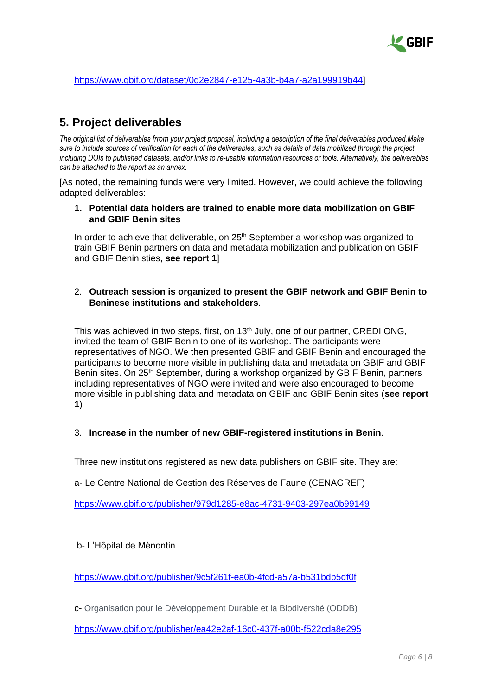

### [https://www.gbif.org/dataset/0d2e2847-e125-4a3b-b4a7-a2a199919b44\]](https://www.gbif.org/dataset/0d2e2847-e125-4a3b-b4a7-a2a199919b44)

# **5. Project deliverables**

*The original list of deliverables frrom your project proposal, including a description of the final deliverables produced.Make sure to include sources of verification for each of the deliverables, such as details of data mobilized through the project including DOIs to published datasets, and/or links to re-usable information resources or tools. Alternatively, the deliverables can be attached to the report as an annex.*

[As noted, the remaining funds were very limited. However, we could achieve the following adapted deliverables:

#### **1. Potential data holders are trained to enable more data mobilization on GBIF and GBIF Benin sites**

In order to achieve that deliverable, on 25<sup>th</sup> September a workshop was organized to train GBIF Benin partners on data and metadata mobilization and publication on GBIF and GBIF Benin sties, **see report 1**]

## 2. **Outreach session is organized to present the GBIF network and GBIF Benin to Beninese institutions and stakeholders**.

This was achieved in two steps, first, on 13<sup>th</sup> July, one of our partner, CREDI ONG, invited the team of GBIF Benin to one of its workshop. The participants were representatives of NGO. We then presented GBIF and GBIF Benin and encouraged the participants to become more visible in publishing data and metadata on GBIF and GBIF Benin sites. On 25<sup>th</sup> September, during a workshop organized by GBIF Benin, partners including representatives of NGO were invited and were also encouraged to become more visible in publishing data and metadata on GBIF and GBIF Benin sites (**see report 1**)

## 3. **Increase in the number of new GBIF-registered institutions in Benin**.

Three new institutions registered as new data publishers on GBIF site. They are:

a- Le Centre National de Gestion des Réserves de Faune (CENAGREF)

<https://www.gbif.org/publisher/979d1285-e8ac-4731-9403-297ea0b99149>

#### b- L'Hôpital de Mènontin

<https://www.gbif.org/publisher/9c5f261f-ea0b-4fcd-a57a-b531bdb5df0f>

c- Organisation pour le Développement Durable et la Biodiversité (ODDB)

<https://www.gbif.org/publisher/ea42e2af-16c0-437f-a00b-f522cda8e295>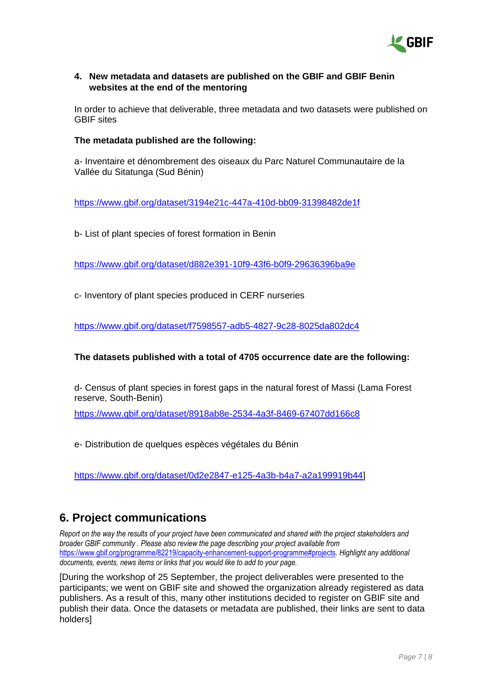

## **4. New metadata and datasets are published on the GBIF and GBIF Benin websites at the end of the mentoring**

In order to achieve that deliverable, three metadata and two datasets were published on GBIF sites

### **The metadata published are the following:**

a- Inventaire et dénombrement des oiseaux du Parc Naturel Communautaire de la Vallée du Sitatunga (Sud Bénin)

<https://www.gbif.org/dataset/3194e21c-447a-410d-bb09-31398482de1f>

b- List of plant species of forest formation in Benin

<https://www.gbif.org/dataset/d882e391-10f9-43f6-b0f9-29636396ba9e>

c- Inventory of plant species produced in CERF nurseries

<https://www.gbif.org/dataset/f7598557-adb5-4827-9c28-8025da802dc4>

#### **The datasets published with a total of 4705 occurrence date are the following:**

d- Census of plant species in forest gaps in the natural forest of Massi (Lama Forest reserve, South-Benin)

<https://www.gbif.org/dataset/8918ab8e-2534-4a3f-8469-67407dd166c8>

e- Distribution de quelques espèces végétales du Bénin

[https://www.gbif.org/dataset/0d2e2847-e125-4a3b-b4a7-a2a199919b44\]](https://www.gbif.org/dataset/0d2e2847-e125-4a3b-b4a7-a2a199919b44)

# **6. Project communications**

*Report on the way the results of your project have been communicated and shared with the project stakeholders and broader GBIF community . Please also review the page describing your project available from*  [https://www.gbif.org/programme/82219/capacity-enhancement-support-programme#projects.](https://www.gbif.org/programme/82219/capacity-enhancement-support-programme#projects) *Highlight any additional documents, events, news items or links that you would like to add to your page.* 

[During the workshop of 25 September, the project deliverables were presented to the participants; we went on GBIF site and showed the organization already registered as data publishers. As a result of this, many other institutions decided to register on GBIF site and publish their data. Once the datasets or metadata are published, their links are sent to data holders]